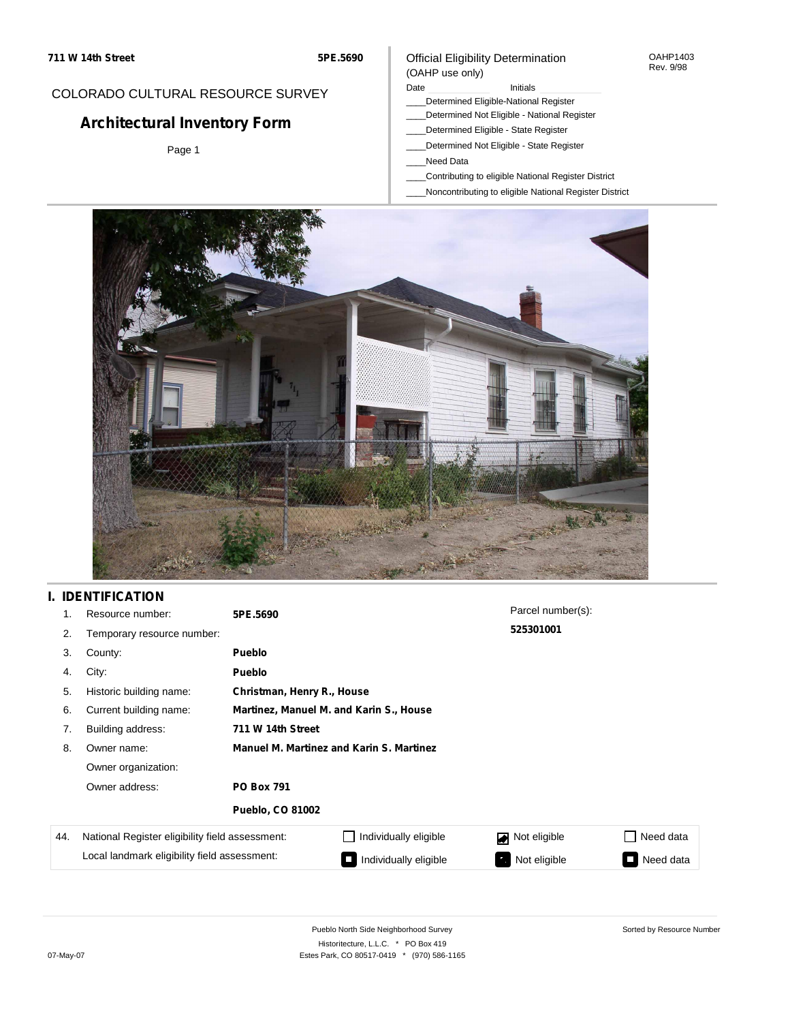#### OAHP1403 Rev. 9/98

## COLORADO CULTURAL RESOURCE SURVEY

# **Architectural Inventory Form**

Page 1

# (OAHP use only)

Official Eligibility Determination

### Date **Initials** Initials

- \_\_\_\_Determined Eligible-National Register
- \_\_\_\_Determined Not Eligible National Register
- \_\_\_\_Determined Eligible State Register \_\_\_\_Determined Not Eligible - State Register
- \_\_\_\_Need Data
- 
- \_\_\_\_Contributing to eligible National Register District
- \_\_\_\_Noncontributing to eligible National Register District



# **I. IDENTIFICATION**

|     | Resource number:                                                                                | 5PE.5690                                        |                       | Parcel number(s):  |                     |  |  |
|-----|-------------------------------------------------------------------------------------------------|-------------------------------------------------|-----------------------|--------------------|---------------------|--|--|
| 2.  | Temporary resource number:                                                                      |                                                 |                       | 525301001          |                     |  |  |
| 3.  | County:                                                                                         | <b>Pueblo</b>                                   |                       |                    |                     |  |  |
| 4.  | City:                                                                                           | <b>Pueblo</b>                                   |                       |                    |                     |  |  |
| 5.  | Historic building name:                                                                         | Christman, Henry R., House                      |                       |                    |                     |  |  |
| 6.  | Current building name:                                                                          | Martinez, Manuel M. and Karin S., House         |                       |                    |                     |  |  |
| 7.  | Building address:                                                                               | 711 W 14th Street                               |                       |                    |                     |  |  |
| 8.  | Owner name:                                                                                     | <b>Manuel M. Martinez and Karin S. Martinez</b> |                       |                    |                     |  |  |
|     | Owner organization:                                                                             |                                                 |                       |                    |                     |  |  |
|     | Owner address:<br><b>PO Box 791</b>                                                             |                                                 |                       |                    |                     |  |  |
|     |                                                                                                 | <b>Pueblo, CO 81002</b>                         |                       |                    |                     |  |  |
| 44. | National Register eligibility field assessment:<br>Local landmark eligibility field assessment: |                                                 | Individually eligible | Not eligible       | Need data           |  |  |
|     |                                                                                                 |                                                 | Individually eligible | Not eligible<br>У. | Need data<br>$\Box$ |  |  |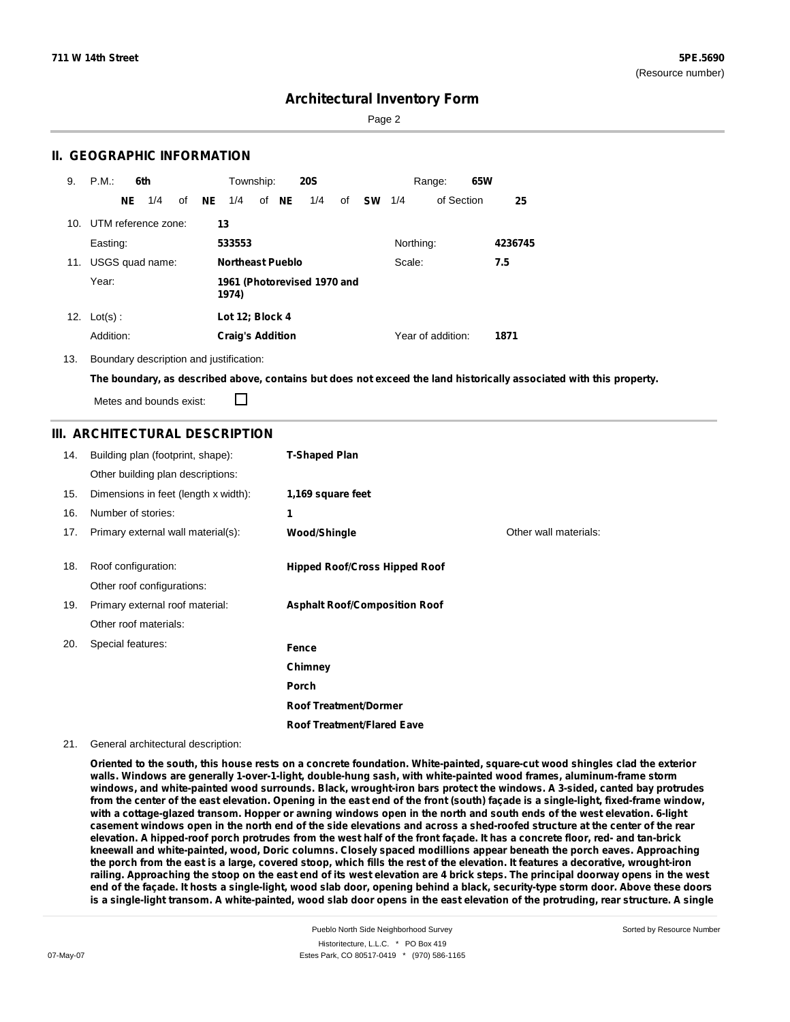Page 2

### **II. GEOGRAPHIC INFORMATION**

| 9.  | P.M.                    |     | 6th             |    |    | Township:                            |  |       | <b>20S</b> |    |           |           | Range:            | 65W |         |
|-----|-------------------------|-----|-----------------|----|----|--------------------------------------|--|-------|------------|----|-----------|-----------|-------------------|-----|---------|
|     |                         | NE. | 1/4             | of | NE | 1/4                                  |  | of NE | 1/4        | of | <b>SW</b> | 1/4       | of Section        |     | 25      |
|     | 10. UTM reference zone: |     |                 |    | 13 |                                      |  |       |            |    |           |           |                   |     |         |
|     | Easting:                |     |                 |    |    | 533553                               |  |       |            |    |           | Northing: |                   |     | 4236745 |
| 11. |                         |     | USGS quad name: |    |    | <b>Northeast Pueblo</b><br>Scale:    |  |       |            |    | 7.5       |           |                   |     |         |
|     | Year:                   |     |                 |    |    | 1961 (Photorevised 1970 and<br>1974) |  |       |            |    |           |           |                   |     |         |
| 12. | $Lot(s)$ :              |     |                 |    |    | Lot 12; Block 4                      |  |       |            |    |           |           |                   |     |         |
|     | Addition:               |     |                 |    |    | <b>Craig's Addition</b>              |  |       |            |    |           |           | Year of addition: |     | 1871    |

13. Boundary description and justification:

The boundary, as described above, contains but does not exceed the land historically associated with this property.

Metes and bounds exist:

П

### **III. ARCHITECTURAL DESCRIPTION**

| 14. | Building plan (footprint, shape):    | <b>T-Shaped Plan</b>                 |                       |
|-----|--------------------------------------|--------------------------------------|-----------------------|
|     | Other building plan descriptions:    |                                      |                       |
| 15. | Dimensions in feet (length x width): | 1,169 square feet                    |                       |
| 16. | Number of stories:                   | 1                                    |                       |
| 17. | Primary external wall material(s):   | <b>Wood/Shingle</b>                  | Other wall materials: |
|     |                                      |                                      |                       |
| 18. | Roof configuration:                  | <b>Hipped Roof/Cross Hipped Roof</b> |                       |
|     | Other roof configurations:           |                                      |                       |
| 19. | Primary external roof material:      | <b>Asphalt Roof/Composition Roof</b> |                       |
|     | Other roof materials:                |                                      |                       |
| 20. | Special features:                    | Fence                                |                       |
|     |                                      | Chimney                              |                       |
|     |                                      | <b>Porch</b>                         |                       |
|     |                                      | <b>Roof Treatment/Dormer</b>         |                       |
|     |                                      | <b>Roof Treatment/Flared Eave</b>    |                       |

#### 21. General architectural description:

Oriented to the south, this house rests on a concrete foundation. White-painted, square-cut wood shingles clad the exterior **walls. Windows are generally 1-over-1-light, double-hung sash, with white-painted wood frames, aluminum-frame storm** windows, and white-painted wood surrounds. Black, wrought-iron bars protect the windows. A 3-sided, canted bay protrudes from the center of the east elevation. Opening in the east end of the front (south) facade is a single-light, fixed-frame window, with a cottage-glazed transom. Hopper or awning windows open in the north and south ends of the west elevation. 6-light casement windows open in the north end of the side elevations and across a shed-roofed structure at the center of the rear elevation. A hipped-roof porch protrudes from the west half of the front façade. It has a concrete floor, red- and tan-brick **kneewall and white-painted, wood, Doric columns. Closely spaced modillions appear beneath the porch eaves. Approaching** the porch from the east is a large, covered stoop, which fills the rest of the elevation. It features a decorative, wrought-iron railing. Approaching the stoop on the east end of its west elevation are 4 brick steps. The principal doorway opens in the west end of the façade. It hosts a single-light, wood slab door, opening behind a black, security-type storm door. Above these doors is a single-light transom. A white-painted, wood slab door opens in the east elevation of the protruding, rear structure. A single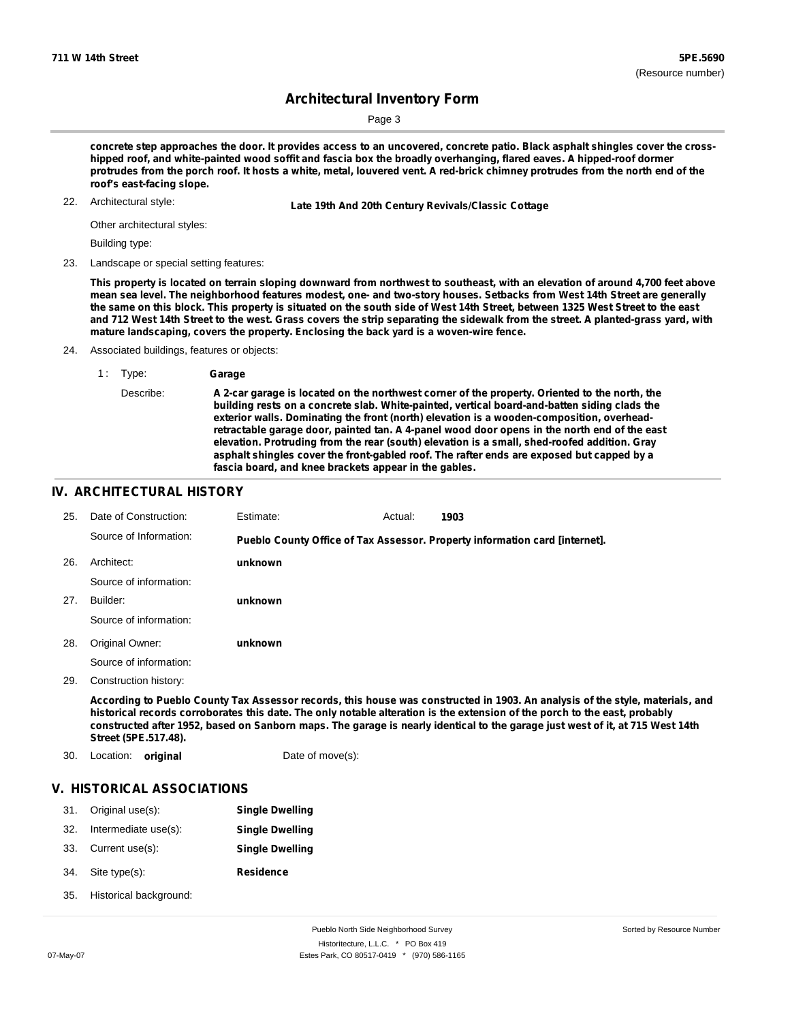Page 3

concrete step approaches the door. It provides access to an uncovered, concrete patio. Black asphalt shingles cover the crosshipped roof, and white-painted wood soffit and fascia box the broadly overhanging, flared eaves. A hipped-roof dormer protrudes from the porch roof. It hosts a white, metal, louvered vent. A red-brick chimney protrudes from the north end of the **roof's east-facing slope.**

22. Architectural style:

22. **Late 19th And 20th Century Revivals/Classic Cottage**

Other architectural styles:

Building type:

23. Landscape or special setting features:

This property is located on terrain sloping downward from northwest to southeast, with an elevation of around 4,700 feet above mean sea level. The neighborhood features modest, one- and two-story houses. Setbacks from West 14th Street are generally the same on this block. This property is situated on the south side of West 14th Street, between 1325 West Street to the east and 712 West 14th Street to the west. Grass covers the strip separating the sidewalk from the street. A planted-grass yard, with **mature landscaping, covers the property. Enclosing the back yard is a woven-wire fence.**

24. Associated buildings, features or objects:

Describe: **A 2-car garage is located on the northwest corner of the property. Oriented to the north, the building rests on a concrete slab. White-painted, vertical board-and-batten siding clads the exterior walls. Dominating the front (north) elevation is a wooden-composition, overheadretractable garage door, painted tan. A 4-panel wood door opens in the north end of the east elevation. Protruding from the rear (south) elevation is a small, shed-roofed addition. Gray asphalt shingles cover the front-gabled roof. The rafter ends are exposed but capped by a fascia board, and knee brackets appear in the gables.**

### **IV. ARCHITECTURAL HISTORY**

| 25. | Date of Construction:  | Estimate: | Actual: | 1903                                                                        |
|-----|------------------------|-----------|---------|-----------------------------------------------------------------------------|
|     | Source of Information: |           |         | Pueblo County Office of Tax Assessor. Property information card [internet]. |
| 26. | Architect:             | unknown   |         |                                                                             |
|     | Source of information: |           |         |                                                                             |
| 27. | Builder:               | unknown   |         |                                                                             |
|     | Source of information: |           |         |                                                                             |
| 28. | Original Owner:        | unknown   |         |                                                                             |
|     | Source of information: |           |         |                                                                             |
| 29. | Construction history:  |           |         |                                                                             |
|     | .                      |           |         |                                                                             |

According to Pueblo County Tax Assessor records, this house was constructed in 1903. An analysis of the style, materials, and historical records corroborates this date. The only notable alteration is the extension of the porch to the east, probably constructed after 1952, based on Sanborn maps. The garage is nearly identical to the garage just west of it, at 715 West 14th **Street (5PE.517.48).**

30. Location: **original** Date of move(s):

### **V. HISTORICAL ASSOCIATIONS**

|                      | <b>Single Dwelling</b>              |
|----------------------|-------------------------------------|
| Intermediate use(s): | <b>Single Dwelling</b>              |
|                      | <b>Single Dwelling</b>              |
| Site type(s):        | <b>Residence</b>                    |
|                      | Original use(s):<br>Current use(s): |

Historical background: 35.

<sup>1</sup> : Type: **Garage**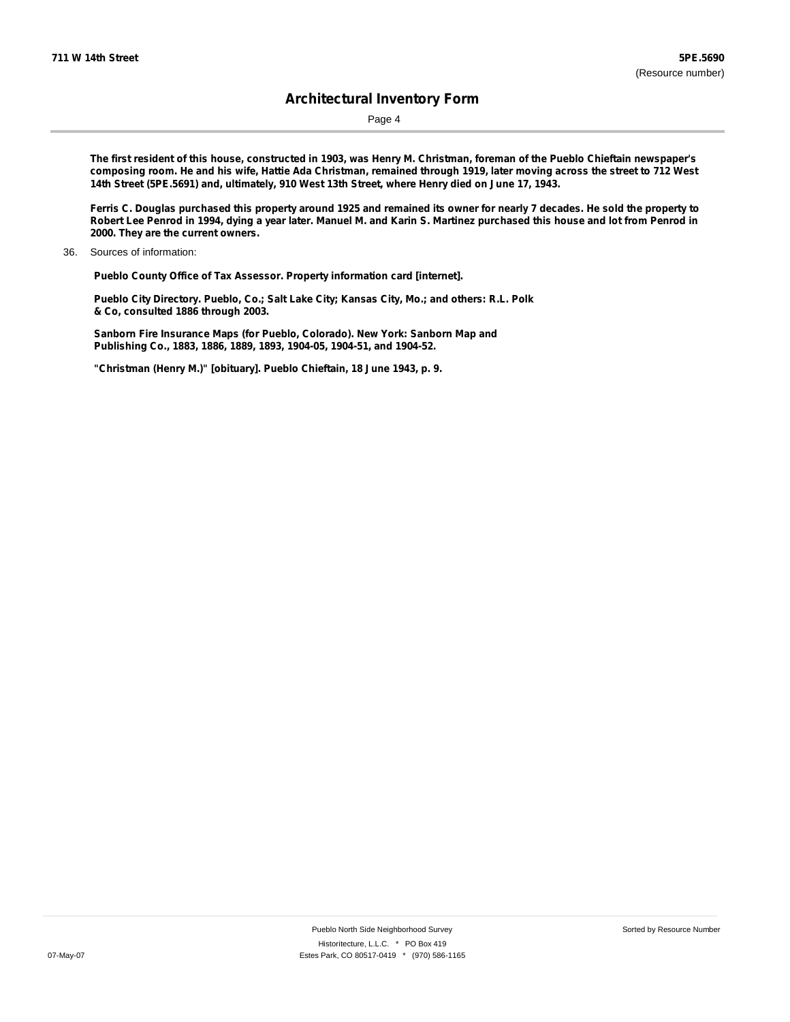Page 4

The first resident of this house, constructed in 1903, was Henry M. Christman, foreman of the Pueblo Chieftain newspaper's composing room. He and his wife, Hattie Ada Christman, remained through 1919, later moving across the street to 712 West **14th Street (5PE.5691) and, ultimately, 910 West 13th Street, where Henry died on June 17, 1943.**

Ferris C. Douglas purchased this property around 1925 and remained its owner for nearly 7 decades. He sold the property to Robert Lee Penrod in 1994, dying a year later. Manuel M. and Karin S. Martinez purchased this house and lot from Penrod in **2000. They are the current owners.**

36. Sources of information:

**Pueblo County Office of Tax Assessor. Property information card [internet].**

**Pueblo City Directory. Pueblo, Co.; Salt Lake City; Kansas City, Mo.; and others: R.L. Polk & Co, consulted 1886 through 2003.**

**Sanborn Fire Insurance Maps (for Pueblo, Colorado). New York: Sanborn Map and Publishing Co., 1883, 1886, 1889, 1893, 1904-05, 1904-51, and 1904-52.**

**"Christman (Henry M.)" [obituary]. Pueblo Chieftain, 18 June 1943, p. 9.**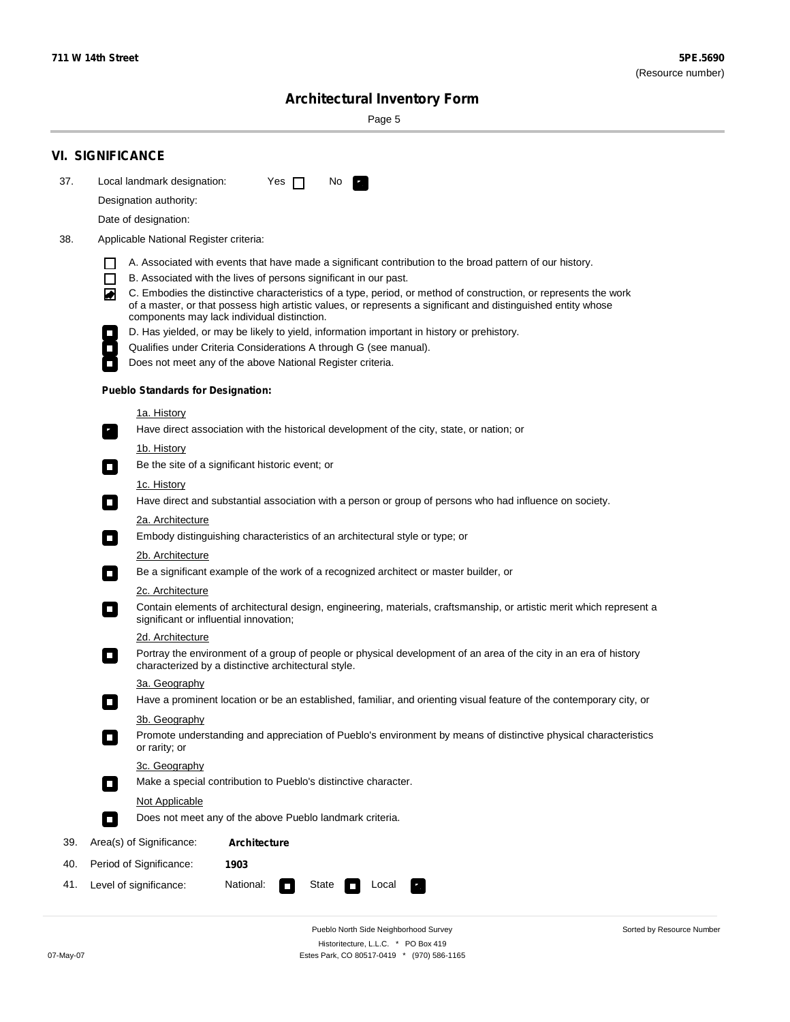٠

Sorted by Resource Number

# **Architectural Inventory Form**

Page 5

|                                                                                                                             | <b>VI. SIGNIFICANCE</b>                                                                                                                                                                                                                                                                                                                                                                                                                |  |  |  |                                                                                                |  |  |
|-----------------------------------------------------------------------------------------------------------------------------|----------------------------------------------------------------------------------------------------------------------------------------------------------------------------------------------------------------------------------------------------------------------------------------------------------------------------------------------------------------------------------------------------------------------------------------|--|--|--|------------------------------------------------------------------------------------------------|--|--|
| 37.                                                                                                                         | Local landmark designation:<br>Yes $\Box$<br>No.                                                                                                                                                                                                                                                                                                                                                                                       |  |  |  |                                                                                                |  |  |
|                                                                                                                             | Designation authority:                                                                                                                                                                                                                                                                                                                                                                                                                 |  |  |  |                                                                                                |  |  |
|                                                                                                                             | Date of designation:                                                                                                                                                                                                                                                                                                                                                                                                                   |  |  |  |                                                                                                |  |  |
| 38.                                                                                                                         | Applicable National Register criteria:                                                                                                                                                                                                                                                                                                                                                                                                 |  |  |  |                                                                                                |  |  |
|                                                                                                                             | A. Associated with events that have made a significant contribution to the broad pattern of our history.<br>l.<br>B. Associated with the lives of persons significant in our past.<br>$\Box$<br>C. Embodies the distinctive characteristics of a type, period, or method of construction, or represents the work<br>◙<br>of a master, or that possess high artistic values, or represents a significant and distinguished entity whose |  |  |  |                                                                                                |  |  |
|                                                                                                                             | components may lack individual distinction.                                                                                                                                                                                                                                                                                                                                                                                            |  |  |  |                                                                                                |  |  |
|                                                                                                                             | D. Has yielded, or may be likely to yield, information important in history or prehistory.                                                                                                                                                                                                                                                                                                                                             |  |  |  |                                                                                                |  |  |
|                                                                                                                             | Qualifies under Criteria Considerations A through G (see manual).<br>Does not meet any of the above National Register criteria.                                                                                                                                                                                                                                                                                                        |  |  |  |                                                                                                |  |  |
|                                                                                                                             |                                                                                                                                                                                                                                                                                                                                                                                                                                        |  |  |  |                                                                                                |  |  |
|                                                                                                                             | <b>Pueblo Standards for Designation:</b>                                                                                                                                                                                                                                                                                                                                                                                               |  |  |  |                                                                                                |  |  |
|                                                                                                                             | 1a. History<br>Have direct association with the historical development of the city, state, or nation; or                                                                                                                                                                                                                                                                                                                               |  |  |  |                                                                                                |  |  |
|                                                                                                                             | <u>1b. History</u><br>Be the site of a significant historic event; or<br>$\mathcal{L}_{\mathcal{A}}$                                                                                                                                                                                                                                                                                                                                   |  |  |  |                                                                                                |  |  |
|                                                                                                                             | 1c. History<br>Have direct and substantial association with a person or group of persons who had influence on society.<br>$\blacksquare$                                                                                                                                                                                                                                                                                               |  |  |  |                                                                                                |  |  |
|                                                                                                                             | 2a. Architecture                                                                                                                                                                                                                                                                                                                                                                                                                       |  |  |  |                                                                                                |  |  |
| Embody distinguishing characteristics of an architectural style or type; or<br>$\overline{\phantom{a}}$<br>2b. Architecture |                                                                                                                                                                                                                                                                                                                                                                                                                                        |  |  |  |                                                                                                |  |  |
|                                                                                                                             |                                                                                                                                                                                                                                                                                                                                                                                                                                        |  |  |  | Be a significant example of the work of a recognized architect or master builder, or<br>$\sim$ |  |  |
|                                                                                                                             | 2c. Architecture<br>Contain elements of architectural design, engineering, materials, craftsmanship, or artistic merit which represent a<br>О<br>significant or influential innovation;                                                                                                                                                                                                                                                |  |  |  |                                                                                                |  |  |
|                                                                                                                             | 2d. Architecture                                                                                                                                                                                                                                                                                                                                                                                                                       |  |  |  |                                                                                                |  |  |
|                                                                                                                             | Portray the environment of a group of people or physical development of an area of the city in an era of history<br>$\Box$<br>characterized by a distinctive architectural style.                                                                                                                                                                                                                                                      |  |  |  |                                                                                                |  |  |
|                                                                                                                             | 3a. Geography                                                                                                                                                                                                                                                                                                                                                                                                                          |  |  |  |                                                                                                |  |  |
|                                                                                                                             | Have a prominent location or be an established, familiar, and orienting visual feature of the contemporary city, or                                                                                                                                                                                                                                                                                                                    |  |  |  |                                                                                                |  |  |
|                                                                                                                             | 3b. Geography<br>Promote understanding and appreciation of Pueblo's environment by means of distinctive physical characteristics<br>or rarity; or                                                                                                                                                                                                                                                                                      |  |  |  |                                                                                                |  |  |
|                                                                                                                             | 3c. Geography<br>Make a special contribution to Pueblo's distinctive character.<br>$\sim$                                                                                                                                                                                                                                                                                                                                              |  |  |  |                                                                                                |  |  |
|                                                                                                                             | Not Applicable                                                                                                                                                                                                                                                                                                                                                                                                                         |  |  |  |                                                                                                |  |  |
|                                                                                                                             | Does not meet any of the above Pueblo landmark criteria.<br>$\overline{\phantom{a}}$                                                                                                                                                                                                                                                                                                                                                   |  |  |  |                                                                                                |  |  |
| 39.                                                                                                                         | Area(s) of Significance:<br><b>Architecture</b>                                                                                                                                                                                                                                                                                                                                                                                        |  |  |  |                                                                                                |  |  |
| 40.                                                                                                                         | Period of Significance:<br>1903                                                                                                                                                                                                                                                                                                                                                                                                        |  |  |  |                                                                                                |  |  |
| 41.                                                                                                                         | National:<br>Level of significance:<br>State<br>Local<br>т,<br>П                                                                                                                                                                                                                                                                                                                                                                       |  |  |  |                                                                                                |  |  |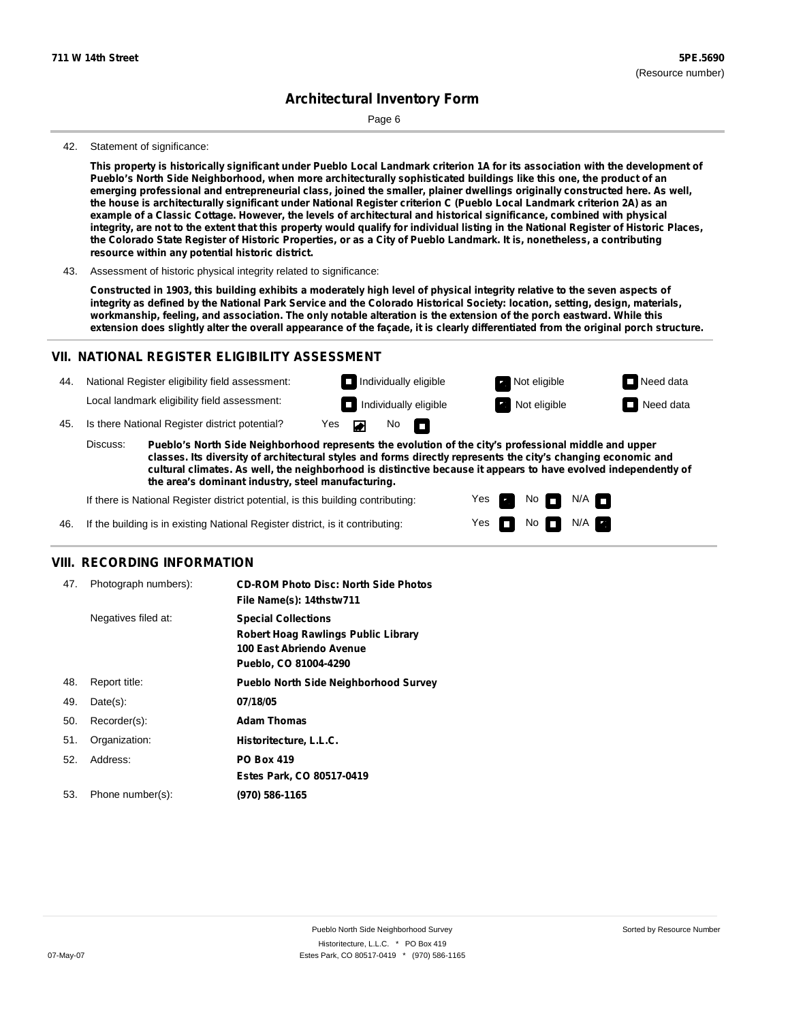Page 6

#### 42. Statement of significance:

This property is historically significant under Pueblo Local Landmark criterion 1A for its association with the development of Pueblo's North Side Neighborhood, when more architecturally sophisticated buildings like this one, the product of an emerging professional and entrepreneurial class, joined the smaller, plainer dwellings originally constructed here. As well, the house is architecturally significant under National Register criterion C (Pueblo Local Landmark criterion 2A) as an example of a Classic Cottage. However, the levels of architectural and historical significance, combined with physical integrity, are not to the extent that this property would qualify for individual listing in the National Register of Historic Places, the Colorado State Register of Historic Properties, or as a City of Pueblo Landmark. It is, nonetheless, a contributing **resource within any potential historic district.**

43. Assessment of historic physical integrity related to significance:

Constructed in 1903, this building exhibits a moderately high level of physical integrity relative to the seven aspects of integrity as defined by the National Park Service and the Colorado Historical Society: location, setting, design, materials, workmanship, feeling, and association. The only notable alteration is the extension of the porch eastward. While this extension does slightly alter the overall appearance of the façade, it is clearly differentiated from the original porch structure.

#### **VII. NATIONAL REGISTER ELIGIBILITY ASSESSMENT**

National Register eligibility field assessment: 44. Local landmark eligibility field assessment:

45. Is there National Register district potential? Yes

**Pueblo's North Side Neighborhood represents the evolution of the city's professional middle and upper classes. Its diversity of architectural styles and forms directly represents the city's changing economic and cultural climates. As well, the neighborhood is distinctive because it appears to have evolved independently of the area's dominant industry, steel manufacturing.** Discuss:

 $\blacksquare$ 

 $No$ 

Yes Yes No

**Individually eligible Not eligible** Not eligible **Need data Individually eligible Not eligible Not eligible Need data** 

 $No$   $N/A$ 

N/A

If there is National Register district potential, is this building contributing:



#### **VIII. RECORDING INFORMATION**

| 47. | Photograph numbers): | <b>CD-ROM Photo Disc: North Side Photos</b><br>File Name(s): 14thstw711                                                       |
|-----|----------------------|-------------------------------------------------------------------------------------------------------------------------------|
|     | Negatives filed at:  | <b>Special Collections</b><br><b>Robert Hoag Rawlings Public Library</b><br>100 East Abriendo Avenue<br>Pueblo, CO 81004-4290 |
| 48. | Report title:        | <b>Pueblo North Side Neighborhood Survey</b>                                                                                  |
| 49. | $Date(s)$ :          | 07/18/05                                                                                                                      |
| 50. | Recorder(s):         | <b>Adam Thomas</b>                                                                                                            |
| 51. | Organization:        | Historitecture, L.L.C.                                                                                                        |
| 52. | Address:             | <b>PO Box 419</b>                                                                                                             |
|     |                      | Estes Park, CO 80517-0419                                                                                                     |
| 53. | Phone number(s):     | (970) 586-1165                                                                                                                |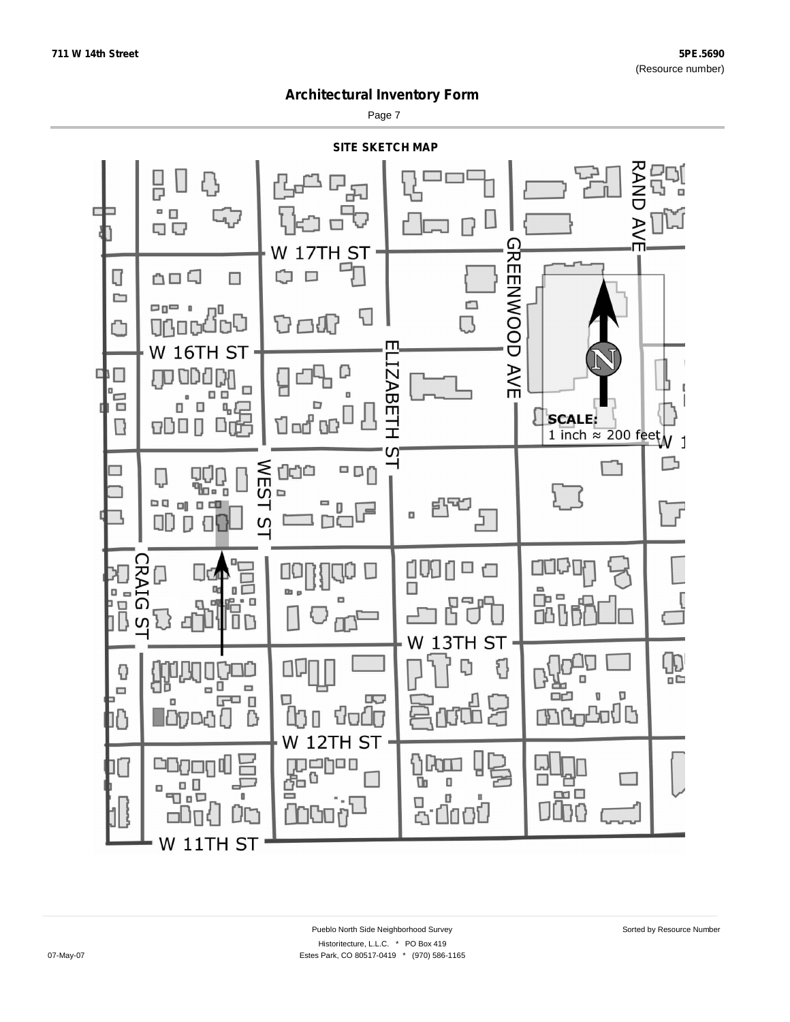Page 7